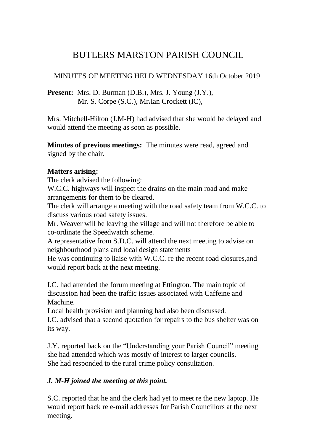# BUTLERS MARSTON PARISH COUNCIL

# MINUTES OF MEETING HELD WEDNESDAY 16th October 2019

**Present:** Mrs. D. Burman (D.B.), Mrs. J. Young (J.Y.), Mr. S. Corpe (S.C.), Mr**.**Ian Crockett (IC),

Mrs. Mitchell-Hilton (J.M-H) had advised that she would be delayed and would attend the meeting as soon as possible.

**Minutes of previous meetings:** The minutes were read, agreed and signed by the chair.

## **Matters arising:**

The clerk advised the following:

W.C.C. highways will inspect the drains on the main road and make arrangements for them to be cleared.

The clerk will arrange a meeting with the road safety team from W.C.C. to discuss various road safety issues.

Mr. Weaver will be leaving the village and will not therefore be able to co-ordinate the Speedwatch scheme.

A representative from S.D.C. will attend the next meeting to advise on neighbourhood plans and local design statements

He was continuing to liaise with W.C.C. re the recent road closures,and would report back at the next meeting.

I.C. had attended the forum meeting at Ettington. The main topic of discussion had been the traffic issues associated with Caffeine and Machine.

Local health provision and planning had also been discussed.

I.C. advised that a second quotation for repairs to the bus shelter was on its way.

J.Y. reported back on the "Understanding your Parish Council" meeting she had attended which was mostly of interest to larger councils. She had responded to the rural crime policy consultation.

# *J. M-H joined the meeting at this point.*

S.C. reported that he and the clerk had yet to meet re the new laptop. He would report back re e-mail addresses for Parish Councillors at the next meeting.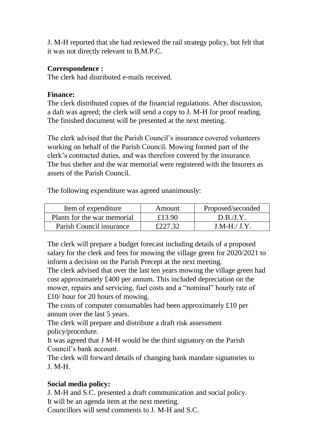J. M-H reported that she had reviewed the rail strategy policy, but felt that it was not directly relevant to B.M.P.C.

#### **Correspondence :**

The clerk had distributed e-mails received.

### **Finance:**

The clerk distributed copies of the financial regulations. After discussion, a daft was agreed; the clerk will send a copy to J. M-H for proof reading. The finished document will be presented at the next meeting.

The clerk advised that the Parish Council's insurance covered volunteers working on behalf of the Parish Council. Mowing formed part of the clerk's contracted duties, and was therefore covered by the insurance. The bus shelter and the war memorial were registered with the Insurers as assets of the Parish Council.

The following expenditure was agreed unanimously:

| Item of expenditure         | Amount  | Proposed/seconded |
|-----------------------------|---------|-------------------|
| Plants for the war memorial | £13.90  | D.B.J.Y.          |
| Parish Council insurance    | £227.32 | $J.M-H/J.Y.$      |

The clerk will prepare a budget forecast including details of a proposed salary for the clerk and fees for mowing the village green for 2020/2021 to inform a decision on the Parish Precept at the next meeting.

The clerk advised that over the last ten years mowing the village green had cost approximately £400 per annum. This included depreciation on the mower, repairs and servicing, fuel costs and a "nominal" hourly rate of £10/ hour for 20 hours of mowing.

The costs of computer consumables had been approximately £10 per annum over the last 5 years.

The clerk will prepare and distribute a draft risk assessment policy/procedure.

It was agreed that J M-H would be the third signatory on the Parish Council's bank account.

The clerk will forward details of changing bank mandate signatories to J. M-H.

# **Social media policy:**

J. M-H and S.C. presented a draft communication and social policy. It will be an agenda item at the next meeting.

Councillors will send comments to J. M-H and S.C.